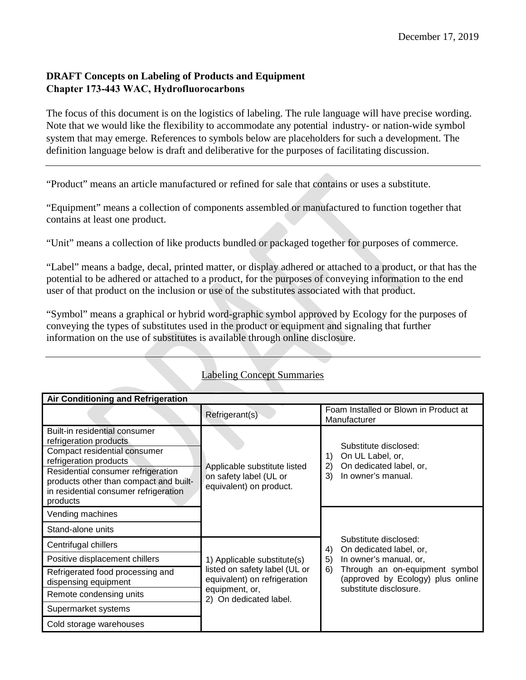## **DRAFT Concepts on Labeling of Products and Equipment Chapter 173-443 WAC, Hydrofluorocarbons**

The focus of this document is on the logistics of labeling. The rule language will have precise wording. Note that we would like the flexibility to accommodate any potential industry- or nation-wide symbol system that may emerge. References to symbols below are placeholders for such a development. The definition language below is draft and deliberative for the purposes of facilitating discussion.

"Product" means an article manufactured or refined for sale that contains or uses a substitute.

"Equipment" means a collection of components assembled or manufactured to function together that contains at least one product.

"Unit" means a collection of like products bundled or packaged together for purposes of commerce.

"Label" means a badge, decal, printed matter, or display adhered or attached to a product, or that has the potential to be adhered or attached to a product, for the purposes of conveying information to the end user of that product on the inclusion or use of the substitutes associated with that product.

"Symbol" means a graphical or hybrid word-graphic symbol approved by Ecology for the purposes of conveying the types of substitutes used in the product or equipment and signaling that further information on the use of substitutes is available through online disclosure.

| Air Conditioning and Refrigeration                                                                                                                                                                                                                     |                                                                                              |                                                                                                              |  |  |
|--------------------------------------------------------------------------------------------------------------------------------------------------------------------------------------------------------------------------------------------------------|----------------------------------------------------------------------------------------------|--------------------------------------------------------------------------------------------------------------|--|--|
|                                                                                                                                                                                                                                                        | Refrigerant(s)                                                                               | Foam Installed or Blown in Product at<br>Manufacturer                                                        |  |  |
| Built-in residential consumer<br>refrigeration products<br>Compact residential consumer<br>refrigeration products<br>Residential consumer refrigeration<br>products other than compact and built-<br>in residential consumer refrigeration<br>products | Applicable substitute listed<br>on safety label (UL or<br>equivalent) on product.            | Substitute disclosed:<br>On UL Label, or,<br>1)<br>On dedicated label, or,<br>2)<br>In owner's manual.<br>3) |  |  |
| Vending machines                                                                                                                                                                                                                                       |                                                                                              | Substitute disclosed:<br>On dedicated label, or,<br>4)                                                       |  |  |
| Stand-alone units                                                                                                                                                                                                                                      |                                                                                              |                                                                                                              |  |  |
| Centrifugal chillers                                                                                                                                                                                                                                   |                                                                                              |                                                                                                              |  |  |
| Positive displacement chillers                                                                                                                                                                                                                         | 1) Applicable substitute(s)<br>listed on safety label (UL or<br>equivalent) on refrigeration | 5)<br>In owner's manual, or,                                                                                 |  |  |
| Refrigerated food processing and<br>dispensing equipment                                                                                                                                                                                               |                                                                                              | Through an on-equipment symbol<br>6)<br>(approved by Ecology) plus online                                    |  |  |
| Remote condensing units                                                                                                                                                                                                                                | equipment, or,<br>2) On dedicated label.                                                     | substitute disclosure.                                                                                       |  |  |
| Supermarket systems                                                                                                                                                                                                                                    |                                                                                              |                                                                                                              |  |  |
| Cold storage warehouses                                                                                                                                                                                                                                |                                                                                              |                                                                                                              |  |  |

## Labeling Concept Summaries